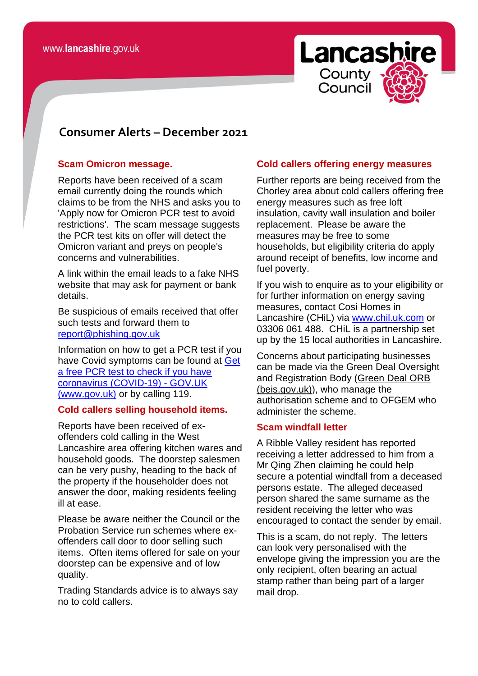# **Lancashire** County Counci

# *<u>consomer</u>* **Consumer Alerts – December 2021**

#### **Scam Omicron message.**

Reports have been received of a scam email currently doing the rounds which claims to be from the NHS and asks you to 'Apply now for Omicron PCR test to avoid restrictions'. The scam message suggests the PCR test kits on offer will detect the Omicron variant and preys on people's concerns and vulnerabilities.

A link within the email leads to a fake NHS website that may ask for payment or bank details.

Be suspicious of emails received that offer such tests and forward them to [report@phishing.gov.uk](mailto:report@phishing.gov.uk)

Information on how to get a PCR test if you have Covid symptoms can be found at [Get](https://www.gov.uk/get-coronavirus-test)  [a free PCR test to check if you have](https://www.gov.uk/get-coronavirus-test)  [coronavirus \(COVID-19\) -](https://www.gov.uk/get-coronavirus-test) GOV.UK [\(www.gov.uk\)](https://www.gov.uk/get-coronavirus-test) or by calling 119.

#### **Cold callers selling household items.**

Reports have been received of exoffenders cold calling in the West Lancashire area offering kitchen wares and household goods. The doorstep salesmen can be very pushy, heading to the back of the property if the householder does not answer the door, making residents feeling ill at ease.

Please be aware neither the Council or the Probation Service run schemes where exoffenders call door to door selling such items. Often items offered for sale on your doorstep can be expensive and of low quality.

Trading Standards advice is to always say no to cold callers.

# **Cold callers offering energy measures**

Further reports are being received from the Chorley area about cold callers offering free energy measures such as free loft insulation, cavity wall insulation and boiler replacement. Please be aware the measures may be free to some households, but eligibility criteria do apply around receipt of benefits, low income and fuel poverty.

If you wish to enquire as to your eligibility or for further information on energy saving measures, contact Cosi Homes in Lancashire (CHiL) via [www.chil.uk.com](http://www.chil.uk.com/) or 03306 061 488. CHiL is a partnership set up by the 15 local authorities in Lancashire.

Concerns about participating businesses can be made via the Green Deal Oversight and Registration Body [\(Green Deal ORB](https://gdorb.beis.gov.uk/)  [\(beis.gov.uk\)\)](https://gdorb.beis.gov.uk/), who manage the authorisation scheme and to OFGEM who administer the scheme.

## **Scam windfall letter**

A Ribble Valley resident has reported receiving a letter addressed to him from a Mr Qing Zhen claiming he could help secure a potential windfall from a deceased persons estate. The alleged deceased person shared the same surname as the resident receiving the letter who was encouraged to contact the sender by email.

This is a scam, do not reply. The letters can look very personalised with the envelope giving the impression you are the only recipient, often bearing an actual stamp rather than being part of a larger mail drop.